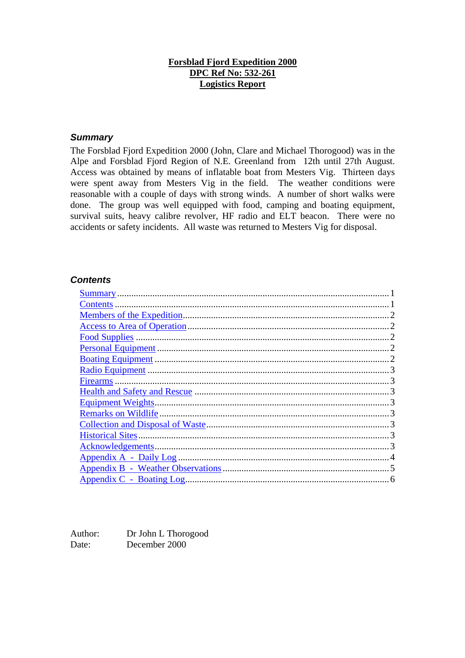#### **Forsblad Fjord Expedition 2000 DPC Ref No: 532-261 Logistics Report**

#### *Summary*

The Forsblad Fjord Expedition 2000 (John, Clare and Michael Thorogood) was in the Alpe and Forsblad Fjord Region of N.E. Greenland from 12th until 27th August. Access was obtained by means of inflatable boat from Mesters Vig. Thirteen days were spent away from Mesters Vig in the field. The weather conditions were reasonable with a couple of days with strong winds. A number of short walks were done. The group was well equipped with food, camping and boating equipment, survival suits, heavy calibre revolver, HF radio and ELT beacon. There were no accidents or safety incidents. All waste was returned to Mesters Vig for disposal.

#### *Contents*

Author: Dr John L Thorogood Date: December 2000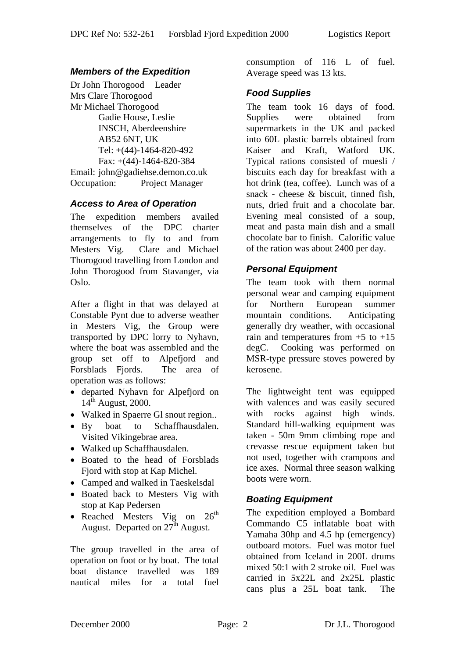# *Members of the Expedition*

Dr John Thorogood Leader Mrs Clare Thorogood Mr Michael Thorogood Gadie House, Leslie INSCH, Aberdeenshire AB52 6NT, UK Tel: +(44)-1464-820-492 Fax: +(44)-1464-820-384 Email: john@gadiehse.demon.co.uk Occupation: Project Manager

#### *Access to Area of Operation*

The expedition members availed themselves of the DPC charter arrangements to fly to and from Mesters Vig. Clare and Michael Thorogood travelling from London and John Thorogood from Stavanger, via Oslo.

After a flight in that was delayed at Constable Pynt due to adverse weather in Mesters Vig, the Group were transported by DPC lorry to Nyhavn, where the boat was assembled and the group set off to Alpefjord and Forsblads Fjords. The area of operation was as follows:

- departed Nyhavn for Alpefjord on  $14<sup>th</sup>$  August, 2000.
- Walked in Spaerre Gl snout region..
- By boat to Schaffhausdalen. Visited Vikingebrae area.
- Walked up Schaffhausdalen.
- Boated to the head of Forsblads Fjord with stop at Kap Michel.
- Camped and walked in Taeskelsdal
- Boated back to Mesters Vig with stop at Kap Pedersen
- Reached Mesters Vig on  $26<sup>th</sup>$ August. Departed on  $27<sup>th</sup>$  August.

The group travelled in the area of operation on foot or by boat. The total boat distance travelled was 189 nautical miles for a total fuel

consumption of 116 L of fuel. Average speed was 13 kts.

#### *Food Supplies*

The team took 16 days of food. Supplies were obtained from supermarkets in the UK and packed into 60L plastic barrels obtained from Kaiser and Kraft, Watford UK. Typical rations consisted of muesli / biscuits each day for breakfast with a hot drink (tea, coffee). Lunch was of a snack - cheese & biscuit, tinned fish, nuts, dried fruit and a chocolate bar. Evening meal consisted of a soup, meat and pasta main dish and a small chocolate bar to finish. Calorific value of the ration was about 2400 per day.

# *Personal Equipment*

The team took with them normal personal wear and camping equipment for Northern European summer mountain conditions. Anticipating generally dry weather, with occasional rain and temperatures from  $+5$  to  $+15$ degC. Cooking was performed on MSR-type pressure stoves powered by kerosene.

The lightweight tent was equipped with valences and was easily secured with rocks against high winds. Standard hill-walking equipment was taken - 50m 9mm climbing rope and crevasse rescue equipment taken but not used, together with crampons and ice axes. Normal three season walking boots were worn.

# *Boating Equipment*

The expedition employed a Bombard Commando C5 inflatable boat with Yamaha 30hp and 4.5 hp (emergency) outboard motors. Fuel was motor fuel obtained from Iceland in 200L drums mixed 50:1 with 2 stroke oil. Fuel was carried in 5x22L and 2x25L plastic cans plus a 25L boat tank. The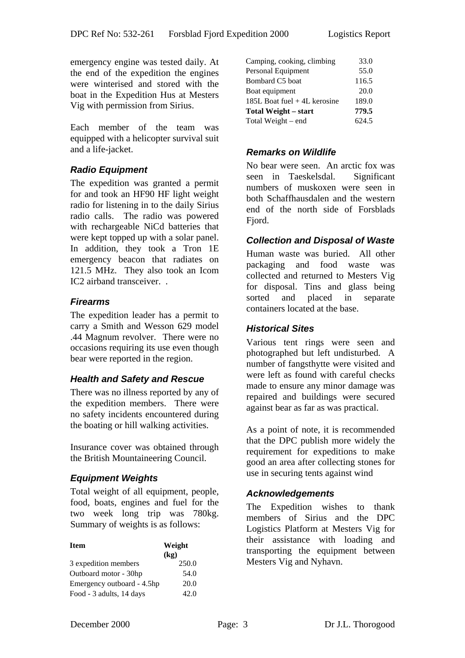emergency engine was tested daily. At the end of the expedition the engines were winterised and stored with the boat in the Expedition Hus at Mesters Vig with permission from Sirius.

Each member of the team was equipped with a helicopter survival suit and a life-jacket.

# *Radio Equipment*

The expedition was granted a permit for and took an HF90 HF light weight radio for listening in to the daily Sirius radio calls. The radio was powered with rechargeable NiCd batteries that were kept topped up with a solar panel. In addition, they took a Tron 1E emergency beacon that radiates on 121.5 MHz. They also took an Icom IC2 airband transceiver. .

#### *Firearms*

The expedition leader has a permit to carry a Smith and Wesson 629 model .44 Magnum revolver. There were no occasions requiring its use even though bear were reported in the region.

# *Health and Safety and Rescue*

There was no illness reported by any of the expedition members. There were no safety incidents encountered during the boating or hill walking activities.

Insurance cover was obtained through the British Mountaineering Council.

# *Equipment Weights*

Total weight of all equipment, people, food, boats, engines and fuel for the two week long trip was 780kg. Summary of weights is as follows:

| <b>Item</b>                | Weight |  |  |
|----------------------------|--------|--|--|
|                            | (kg)   |  |  |
| 3 expedition members       | 250.0  |  |  |
| Outboard motor - 30hp      | 54.0   |  |  |
| Emergency outboard - 4.5hp | 20.0   |  |  |
| Food - 3 adults, 14 days   | 42.0   |  |  |

| Camping, cooking, climbing    | 33.0  |
|-------------------------------|-------|
| Personal Equipment            | 55.0  |
| Bombard C5 boat               | 116.5 |
| Boat equipment                | 20.0  |
| 185L Boat fuel $+4L$ kerosine | 189.0 |
| <b>Total Weight – start</b>   | 779.5 |
| Total Weight – end            | 624.5 |
|                               |       |

#### *Remarks on Wildlife*

No bear were seen. An arctic fox was seen in Taeskelsdal. Significant numbers of muskoxen were seen in both Schaffhausdalen and the western end of the north side of Forsblads Fiord.

#### *Collection and Disposal of Waste*

Human waste was buried. All other packaging and food waste was collected and returned to Mesters Vig for disposal. Tins and glass being sorted and placed in separate containers located at the base.

#### *Historical Sites*

Various tent rings were seen and photographed but left undisturbed. A number of fangsthytte were visited and were left as found with careful checks made to ensure any minor damage was repaired and buildings were secured against bear as far as was practical.

As a point of note, it is recommended that the DPC publish more widely the requirement for expeditions to make good an area after collecting stones for use in securing tents against wind

#### *Acknowledgements*

The Expedition wishes to thank members of Sirius and the DPC Logistics Platform at Mesters Vig for their assistance with loading and transporting the equipment between Mesters Vig and Nyhavn.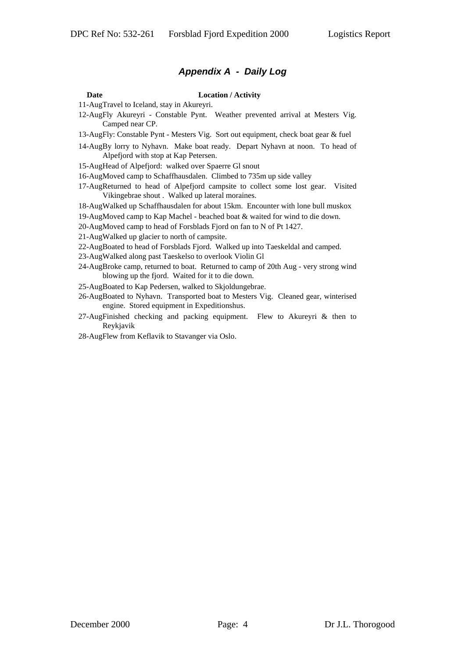#### *Appendix A - Daily Log*

#### **Date Location / Activity**

11-AugTravel to Iceland, stay in Akureyri.

- 12-AugFly Akureyri Constable Pynt. Weather prevented arrival at Mesters Vig. Camped near CP.
- 13-AugFly: Constable Pynt Mesters Vig. Sort out equipment, check boat gear & fuel
- 14-AugBy lorry to Nyhavn. Make boat ready. Depart Nyhavn at noon. To head of Alpefjord with stop at Kap Petersen.

15-AugHead of Alpefjord: walked over Spaerre Gl snout

- 16-AugMoved camp to Schaffhausdalen. Climbed to 735m up side valley
- 17-AugReturned to head of Alpefjord campsite to collect some lost gear. Visited Vikingebrae shout . Walked up lateral moraines.

18-AugWalked up Schaffhausdalen for about 15km. Encounter with lone bull muskox

19-AugMoved camp to Kap Machel - beached boat & waited for wind to die down.

20-AugMoved camp to head of Forsblads Fjord on fan to N of Pt 1427.

21-AugWalked up glacier to north of campsite.

22-AugBoated to head of Forsblads Fjord. Walked up into Taeskeldal and camped.

23-AugWalked along past Taeskelso to overlook Violin Gl

24-AugBroke camp, returned to boat. Returned to camp of 20th Aug - very strong wind blowing up the fjord. Waited for it to die down.

25-AugBoated to Kap Pedersen, walked to Skjoldungebrae.

26-AugBoated to Nyhavn. Transported boat to Mesters Vig. Cleaned gear, winterised engine. Stored equipment in Expeditionshus.

27-AugFinished checking and packing equipment. Flew to Akureyri & then to Reykjavik

28-AugFlew from Keflavik to Stavanger via Oslo.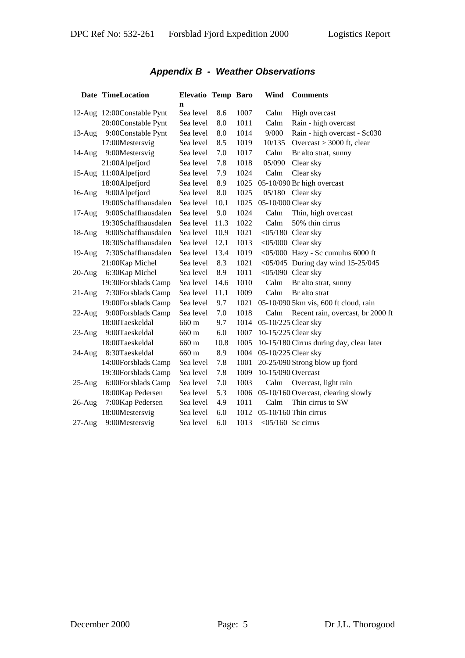# *Appendix B - Weather Observations*

|           | Date TimeLocation          | Elevatio Temp Baro<br>n |      |      | Wind                 | <b>Comments</b>                          |
|-----------|----------------------------|-------------------------|------|------|----------------------|------------------------------------------|
|           | 12-Aug 12:00Constable Pynt | Sea level               | 8.6  | 1007 | Calm                 | High overcast                            |
|           | 20:00Constable Pynt        | Sea level               | 8.0  | 1011 | Calm                 | Rain - high overcast                     |
| $13$ -Aug | 9:00Constable Pynt         | Sea level               | 8.0  | 1014 | 9/000                | Rain - high overcast - Sc030             |
|           | 17:00Mestersvig            | Sea level               | 8.5  | 1019 | 10/135               | Overcast $> 3000$ ft, clear              |
| $14$ -Aug | 9:00Mestersvig             | Sea level               | 7.0  | 1017 | Calm                 | Br alto strat, sunny                     |
|           | 21:00Alpefjord             | Sea level               | 7.8  | 1018 | 05/090               | Clear sky                                |
|           | 15-Aug 11:00Alpefjord      | Sea level               | 7.9  | 1024 | Calm                 | Clear sky                                |
|           | 18:00Alpefjord             | Sea level               | 8.9  | 1025 |                      | 05-10/090 Br high overcast               |
| $16$ -Aug | 9:00Alpefjord              | Sea level               | 8.0  | 1025 |                      | 05/180 Clear sky                         |
|           | 19:00Schaffhausdalen       | Sea level               | 10.1 | 1025 | 05-10/000 Clear sky  |                                          |
| $17-Aug$  | 9:00Schaffhausdalen        | Sea level               | 9.0  | 1024 | Calm                 | Thin, high overcast                      |
|           | 19:30Schaffhausdalen       | Sea level               | 11.3 | 1022 | Calm                 | 50% thin cirrus                          |
| $18-Aug$  | 9:00Schaffhausdalen        | Sea level               | 10.9 | 1021 |                      | $<$ 05/180 Clear sky                     |
|           | 18:30Schaffhausdalen       | Sea level               | 12.1 | 1013 |                      | $<$ 05/000 Clear sky                     |
| $19-Aug$  | 7:30Schaffhausdalen        | Sea level               | 13.4 | 1019 |                      | <05/000 Hazy - Sc cumulus 6000 ft        |
|           | 21:00Kap Michel            | Sea level               | 8.3  | 1021 |                      | <05/045 During day wind $15-25/045$      |
| $20-Aug$  | 6:30Kap Michel             | Sea level               | 8.9  | 1011 |                      | $<$ 05/090 Clear sky                     |
|           | 19:30Forsblads Camp        | Sea level               | 14.6 | 1010 | Calm                 | Br alto strat, sunny                     |
| $21$ -Aug | 7:30Forsblads Camp         | Sea level               | 11.1 | 1009 | Calm                 | Br alto strat                            |
|           | 19:00Forsblads Camp        | Sea level               | 9.7  | 1021 |                      | 05-10/090 5km vis, 600 ft cloud, rain    |
| $22$ -Aug | 9:00Forsblads Camp         | Sea level               | 7.0  | 1018 | Calm                 | Recent rain, overcast, br 2000 ft        |
|           | 18:00Taeskeldal            | 660 m                   | 9.7  | 1014 | 05-10/225 Clear sky  |                                          |
| $23$ -Aug | 9:00Taeskeldal             | 660 m                   | 6.0  | 1007 | 10-15/225 Clear sky  |                                          |
|           | 18:00Taeskeldal            | 660 m                   | 10.8 | 1005 |                      | 10-15/180 Cirrus during day, clear later |
| $24$ -Aug | 8:30Taeskeldal             | 660 m                   | 8.9  | 1004 | 05-10/225 Clear sky  |                                          |
|           | 14:00Forsblads Camp        | Sea level               | 7.8  | 1001 |                      | 20-25/090 Strong blow up fjord           |
|           | 19:30Forsblads Camp        | Sea level               | 7.8  | 1009 | 10-15/090 Overcast   |                                          |
| $25-Aug$  | 6:00Forsblads Camp         | Sea level               | 7.0  | 1003 | Calm                 | Overcast, light rain                     |
|           | 18:00Kap Pedersen          | Sea level               | 5.3  | 1006 |                      | 05-10/160 Overcast, clearing slowly      |
| $26$ -Aug | 7:00Kap Pedersen           | Sea level               | 4.9  | 1011 | Calm                 | Thin cirrus to SW                        |
|           | 18:00Mestersvig            | Sea level               | 6.0  | 1012 |                      | 05-10/160 Thin cirrus                    |
| $27-Aug$  | 9:00Mestersvig             | Sea level               | 6.0  | 1013 | $<$ 05/160 Sc cirrus |                                          |